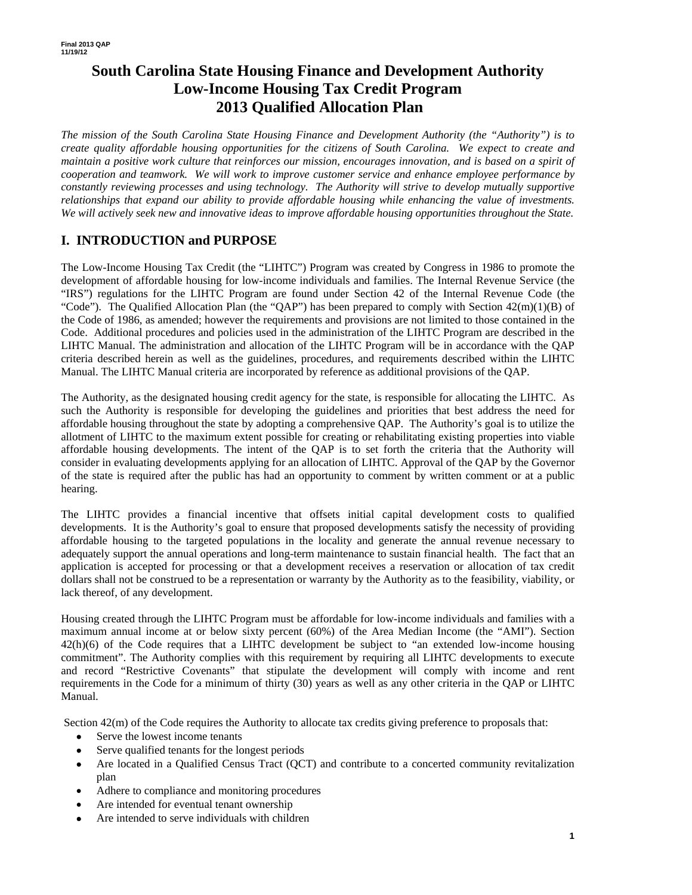# **South Carolina State Housing Finance and Development Authority Low-Income Housing Tax Credit Program 2013 Qualified Allocation Plan**

*The mission of the South Carolina State Housing Finance and Development Authority (the "Authority") is to create quality affordable housing opportunities for the citizens of South Carolina. We expect to create and maintain a positive work culture that reinforces our mission, encourages innovation, and is based on a spirit of cooperation and teamwork. We will work to improve customer service and enhance employee performance by constantly reviewing processes and using technology. The Authority will strive to develop mutually supportive relationships that expand our ability to provide affordable housing while enhancing the value of investments. We will actively seek new and innovative ideas to improve affordable housing opportunities throughout the State.* 

### **I. INTRODUCTION and PURPOSE**

The Low-Income Housing Tax Credit (the "LIHTC") Program was created by Congress in 1986 to promote the development of affordable housing for low-income individuals and families. The Internal Revenue Service (the "IRS") regulations for the LIHTC Program are found under Section 42 of the Internal Revenue Code (the "Code"). The Qualified Allocation Plan (the "QAP") has been prepared to comply with Section  $42(m)(1)(B)$  of the Code of 1986, as amended; however the requirements and provisions are not limited to those contained in the Code. Additional procedures and policies used in the administration of the LIHTC Program are described in the LIHTC Manual. The administration and allocation of the LIHTC Program will be in accordance with the QAP criteria described herein as well as the guidelines, procedures, and requirements described within the LIHTC Manual. The LIHTC Manual criteria are incorporated by reference as additional provisions of the QAP.

The Authority, as the designated housing credit agency for the state, is responsible for allocating the LIHTC. As such the Authority is responsible for developing the guidelines and priorities that best address the need for affordable housing throughout the state by adopting a comprehensive QAP. The Authority's goal is to utilize the allotment of LIHTC to the maximum extent possible for creating or rehabilitating existing properties into viable affordable housing developments. The intent of the QAP is to set forth the criteria that the Authority will consider in evaluating developments applying for an allocation of LIHTC. Approval of the QAP by the Governor of the state is required after the public has had an opportunity to comment by written comment or at a public hearing.

The LIHTC provides a financial incentive that offsets initial capital development costs to qualified developments. It is the Authority's goal to ensure that proposed developments satisfy the necessity of providing affordable housing to the targeted populations in the locality and generate the annual revenue necessary to adequately support the annual operations and long-term maintenance to sustain financial health. The fact that an application is accepted for processing or that a development receives a reservation or allocation of tax credit dollars shall not be construed to be a representation or warranty by the Authority as to the feasibility, viability, or lack thereof, of any development.

Housing created through the LIHTC Program must be affordable for low-income individuals and families with a maximum annual income at or below sixty percent (60%) of the Area Median Income (the "AMI"). Section 42(h)(6) of the Code requires that a LIHTC development be subject to "an extended low-income housing commitment". The Authority complies with this requirement by requiring all LIHTC developments to execute and record "Restrictive Covenants" that stipulate the development will comply with income and rent requirements in the Code for a minimum of thirty (30) years as well as any other criteria in the QAP or LIHTC Manual.

Section  $42(m)$  of the Code requires the Authority to allocate tax credits giving preference to proposals that:

- Serve the lowest income tenants
- Serve qualified tenants for the longest periods
- Are located in a Qualified Census Tract (QCT) and contribute to a concerted community revitalization plan
- Adhere to compliance and monitoring procedures
- Are intended for eventual tenant ownership
- Are intended to serve individuals with children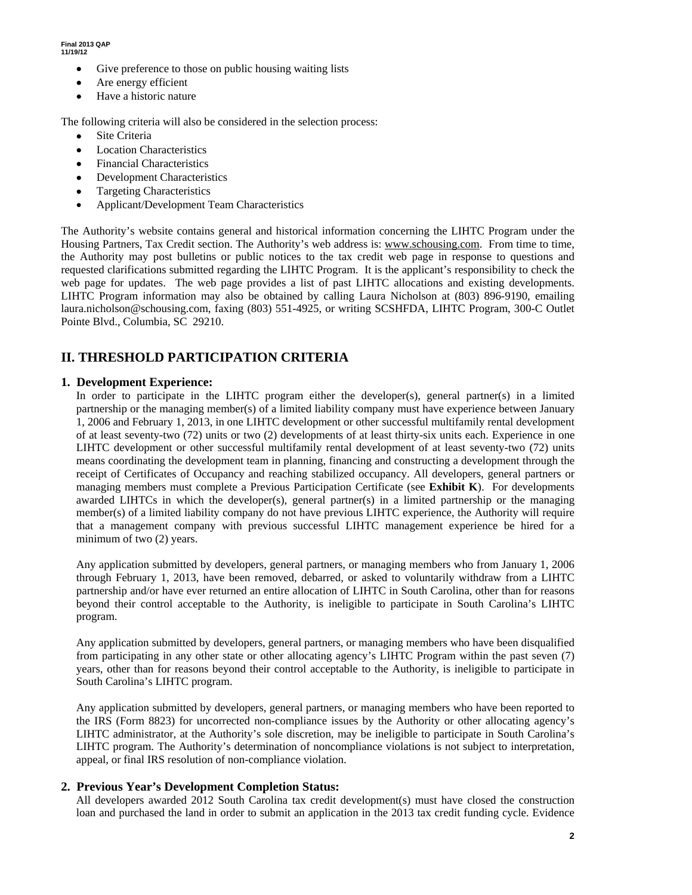- Give preference to those on public housing waiting lists
- Are energy efficient
- Have a historic nature

The following criteria will also be considered in the selection process:

- Site Criteria
- Location Characteristics
- Financial Characteristics
- Development Characteristics
- Targeting Characteristics
- Applicant/Development Team Characteristics

The Authority's website contains general and historical information concerning the LIHTC Program under the Housing Partners, Tax Credit section. The Authority's web address is: www.schousing.com. From time to time, the Authority may post bulletins or public notices to the tax credit web page in response to questions and requested clarifications submitted regarding the LIHTC Program. It is the applicant's responsibility to check the web page for updates. The web page provides a list of past LIHTC allocations and existing developments. LIHTC Program information may also be obtained by calling Laura Nicholson at (803) 896-9190, emailing laura.nicholson@schousing.com, faxing (803) 551-4925, or writing SCSHFDA, LIHTC Program, 300-C Outlet Pointe Blvd., Columbia, SC 29210.

### **II. THRESHOLD PARTICIPATION CRITERIA**

#### **1. Development Experience:**

In order to participate in the LIHTC program either the developer(s), general partner(s) in a limited partnership or the managing member(s) of a limited liability company must have experience between January 1, 2006 and February 1, 2013, in one LIHTC development or other successful multifamily rental development of at least seventy-two (72) units or two (2) developments of at least thirty-six units each. Experience in one LIHTC development or other successful multifamily rental development of at least seventy-two (72) units means coordinating the development team in planning, financing and constructing a development through the receipt of Certificates of Occupancy and reaching stabilized occupancy. All developers, general partners or managing members must complete a Previous Participation Certificate (see **Exhibit K**). For developments awarded LIHTCs in which the developer(s), general partner(s) in a limited partnership or the managing member(s) of a limited liability company do not have previous LIHTC experience, the Authority will require that a management company with previous successful LIHTC management experience be hired for a minimum of two (2) years.

Any application submitted by developers, general partners, or managing members who from January 1, 2006 through February 1, 2013, have been removed, debarred, or asked to voluntarily withdraw from a LIHTC partnership and/or have ever returned an entire allocation of LIHTC in South Carolina, other than for reasons beyond their control acceptable to the Authority, is ineligible to participate in South Carolina's LIHTC program.

Any application submitted by developers, general partners, or managing members who have been disqualified from participating in any other state or other allocating agency's LIHTC Program within the past seven (7) years, other than for reasons beyond their control acceptable to the Authority, is ineligible to participate in South Carolina's LIHTC program.

Any application submitted by developers, general partners, or managing members who have been reported to the IRS (Form 8823) for uncorrected non-compliance issues by the Authority or other allocating agency's LIHTC administrator, at the Authority's sole discretion, may be ineligible to participate in South Carolina's LIHTC program. The Authority's determination of noncompliance violations is not subject to interpretation, appeal, or final IRS resolution of non-compliance violation.

#### **2. Previous Year's Development Completion Status:**

All developers awarded 2012 South Carolina tax credit development(s) must have closed the construction loan and purchased the land in order to submit an application in the 2013 tax credit funding cycle. Evidence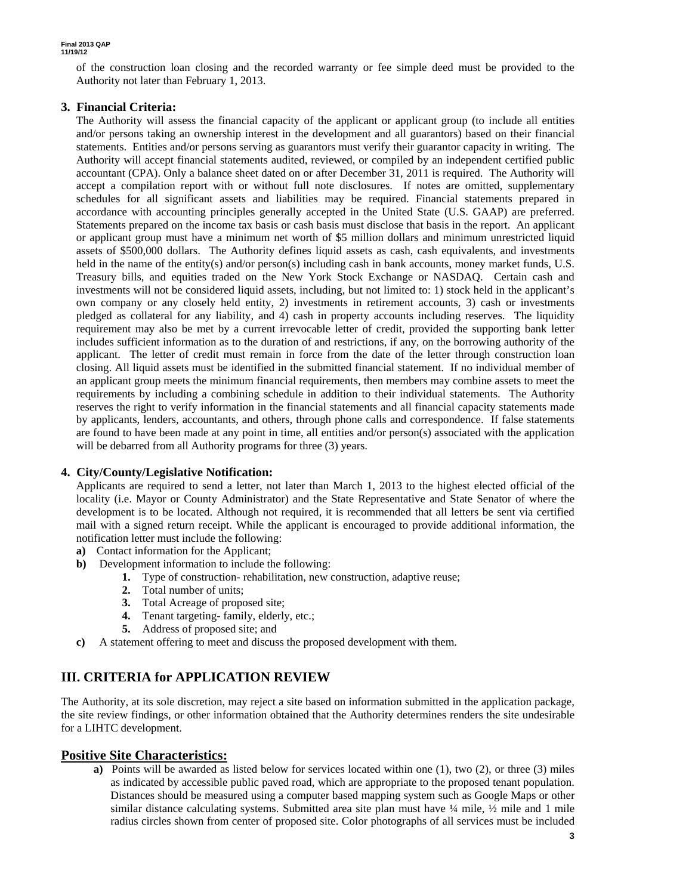of the construction loan closing and the recorded warranty or fee simple deed must be provided to the Authority not later than February 1, 2013.

#### **3. Financial Criteria:**

The Authority will assess the financial capacity of the applicant or applicant group (to include all entities and/or persons taking an ownership interest in the development and all guarantors) based on their financial statements. Entities and/or persons serving as guarantors must verify their guarantor capacity in writing. The Authority will accept financial statements audited, reviewed, or compiled by an independent certified public accountant (CPA). Only a balance sheet dated on or after December 31, 2011 is required. The Authority will accept a compilation report with or without full note disclosures. If notes are omitted, supplementary schedules for all significant assets and liabilities may be required. Financial statements prepared in accordance with accounting principles generally accepted in the United State (U.S. GAAP) are preferred. Statements prepared on the income tax basis or cash basis must disclose that basis in the report. An applicant or applicant group must have a minimum net worth of \$5 million dollars and minimum unrestricted liquid assets of \$500,000 dollars. The Authority defines liquid assets as cash, cash equivalents, and investments held in the name of the entity(s) and/or person(s) including cash in bank accounts, money market funds, U.S. Treasury bills, and equities traded on the New York Stock Exchange or NASDAQ. Certain cash and investments will not be considered liquid assets, including, but not limited to: 1) stock held in the applicant's own company or any closely held entity, 2) investments in retirement accounts, 3) cash or investments pledged as collateral for any liability, and 4) cash in property accounts including reserves. The liquidity requirement may also be met by a current irrevocable letter of credit, provided the supporting bank letter includes sufficient information as to the duration of and restrictions, if any, on the borrowing authority of the applicant. The letter of credit must remain in force from the date of the letter through construction loan closing. All liquid assets must be identified in the submitted financial statement. If no individual member of an applicant group meets the minimum financial requirements, then members may combine assets to meet the requirements by including a combining schedule in addition to their individual statements. The Authority reserves the right to verify information in the financial statements and all financial capacity statements made by applicants, lenders, accountants, and others, through phone calls and correspondence. If false statements are found to have been made at any point in time, all entities and/or person(s) associated with the application will be debarred from all Authority programs for three (3) years.

#### **4. City/County/Legislative Notification:**

Applicants are required to send a letter, not later than March 1, 2013 to the highest elected official of the locality (i.e. Mayor or County Administrator) and the State Representative and State Senator of where the development is to be located. Although not required, it is recommended that all letters be sent via certified mail with a signed return receipt. While the applicant is encouraged to provide additional information, the notification letter must include the following:

- **a)** Contact information for the Applicant;
- **b)** Development information to include the following:
	- **1.** Type of construction- rehabilitation, new construction, adaptive reuse;
	- **2.** Total number of units;
	- **3.** Total Acreage of proposed site;
	- **4.** Tenant targeting- family, elderly, etc.;
	- **5.** Address of proposed site; and
- **c)** A statement offering to meet and discuss the proposed development with them.

### **III. CRITERIA for APPLICATION REVIEW**

The Authority, at its sole discretion, may reject a site based on information submitted in the application package, the site review findings, or other information obtained that the Authority determines renders the site undesirable for a LIHTC development.

#### **Positive Site Characteristics:**

**a)** Points will be awarded as listed below for services located within one (1), two (2), or three (3) miles as indicated by accessible public paved road, which are appropriate to the proposed tenant population. Distances should be measured using a computer based mapping system such as Google Maps or other similar distance calculating systems. Submitted area site plan must have  $\frac{1}{4}$  mile,  $\frac{1}{2}$  mile and 1 mile radius circles shown from center of proposed site. Color photographs of all services must be included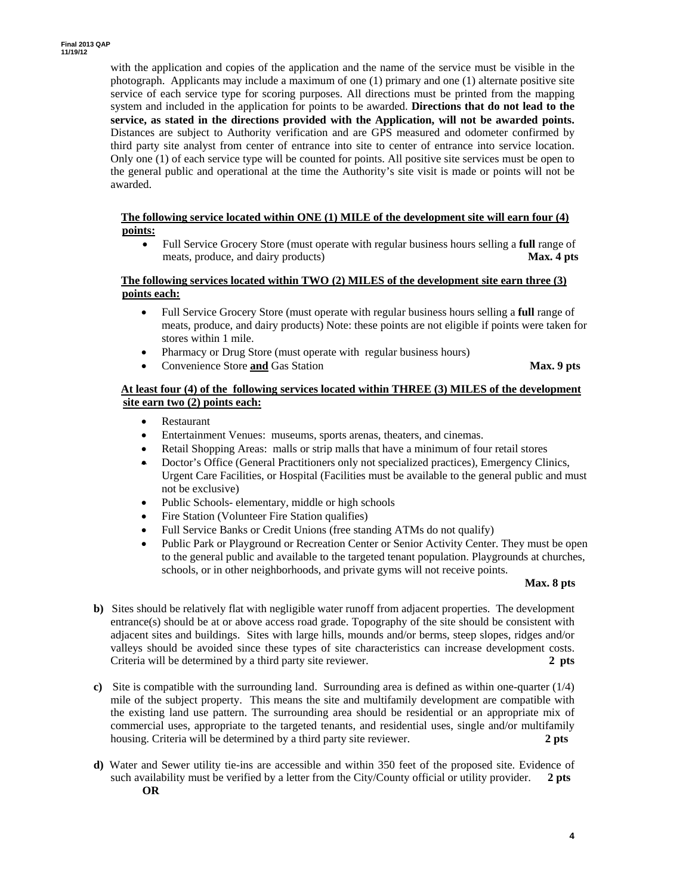with the application and copies of the application and the name of the service must be visible in the photograph. Applicants may include a maximum of one (1) primary and one (1) alternate positive site service of each service type for scoring purposes. All directions must be printed from the mapping system and included in the application for points to be awarded. **Directions that do not lead to the service, as stated in the directions provided with the Application, will not be awarded points.**  Distances are subject to Authority verification and are GPS measured and odometer confirmed by third party site analyst from center of entrance into site to center of entrance into service location. Only one (1) of each service type will be counted for points. All positive site services must be open to the general public and operational at the time the Authority's site visit is made or points will not be awarded.

#### **The following service located within ONE (1) MILE of the development site will earn four (4) points:**

 Full Service Grocery Store (must operate with regular business hours selling a **full** range of meats, produce, and dairy products) **Max. 4 pts** 

#### **The following services located within TWO (2) MILES of the development site earn three (3) points each:**

- Full Service Grocery Store (must operate with regular business hours selling a **full** range of meats, produce, and dairy products) Note: these points are not eligible if points were taken for stores within 1 mile.
- Pharmacy or Drug Store (must operate with regular business hours)
- Convenience Store **and** Gas Station **Max. 9 pts**

#### **At least four (4) of the following services located within THREE (3) MILES of the development site earn two (2) points each:**

- Restaurant
- Entertainment Venues: museums, sports arenas, theaters, and cinemas.
- Retail Shopping Areas: malls or strip malls that have a minimum of four retail stores
- Doctor's Office (General Practitioners only not specialized practices), Emergency Clinics, Urgent Care Facilities, or Hospital (Facilities must be available to the general public and must not be exclusive)
- Public Schools- elementary, middle or high schools
- Fire Station (Volunteer Fire Station qualifies)
- Full Service Banks or Credit Unions (free standing ATMs do not qualify)
- Public Park or Playground or Recreation Center or Senior Activity Center. They must be open to the general public and available to the targeted tenant population. Playgrounds at churches, schools, or in other neighborhoods, and private gyms will not receive points.

#### **Max. 8 pts**

- **b**) Sites should be relatively flat with negligible water runoff from adjacent properties. The development entrance(s) should be at or above access road grade. Topography of the site should be consistent with adjacent sites and buildings. Sites with large hills, mounds and/or berms, steep slopes, ridges and/or valleys should be avoided since these types of site characteristics can increase development costs. Criteria will be determined by a third party site reviewer. **2 pts**
- **c)** Site is compatible with the surrounding land. Surrounding area is defined as within one-quarter (1/4) mile of the subject property. This means the site and multifamily development are compatible with the existing land use pattern. The surrounding area should be residential or an appropriate mix of commercial uses, appropriate to the targeted tenants, and residential uses, single and/or multifamily housing. Criteria will be determined by a third party site reviewer. **2 pts**
- **d)** Water and Sewer utility tie-ins are accessible and within 350 feet of the proposed site. Evidence of such availability must be verified by a letter from the City/County official or utility provider. **2 pts OR**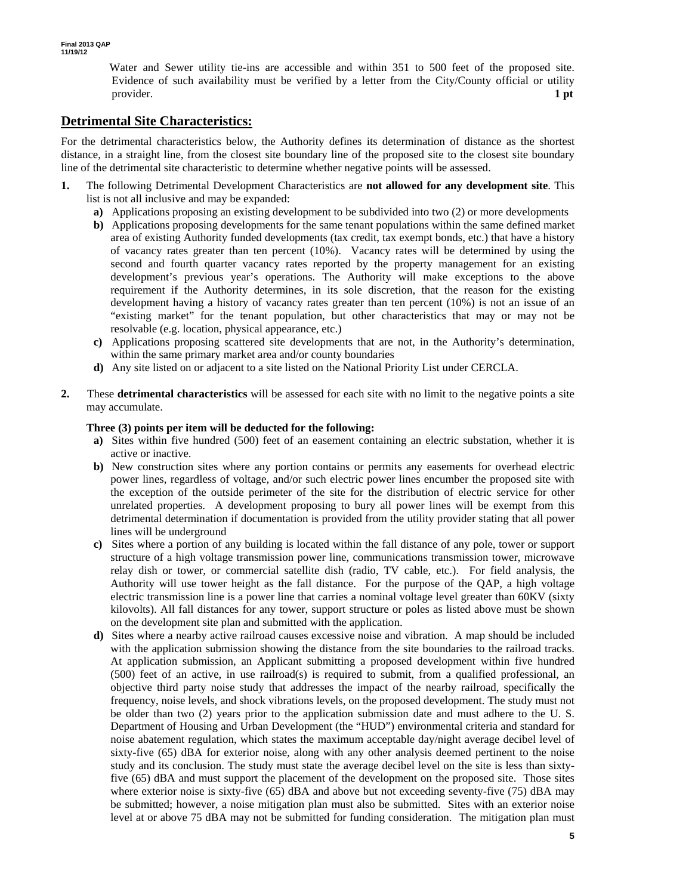Water and Sewer utility tie-ins are accessible and within 351 to 500 feet of the proposed site. Evidence of such availability must be verified by a letter from the City/County official or utility provider. **1 pt 1** 

### **Detrimental Site Characteristics:**

For the detrimental characteristics below, the Authority defines its determination of distance as the shortest distance, in a straight line, from the closest site boundary line of the proposed site to the closest site boundary line of the detrimental site characteristic to determine whether negative points will be assessed.

- **1.** The following Detrimental Development Characteristics are **not allowed for any development site**. This list is not all inclusive and may be expanded:
	- **a)** Applications proposing an existing development to be subdivided into two (2) or more developments
	- **b)** Applications proposing developments for the same tenant populations within the same defined market area of existing Authority funded developments (tax credit, tax exempt bonds, etc.) that have a history of vacancy rates greater than ten percent (10%). Vacancy rates will be determined by using the second and fourth quarter vacancy rates reported by the property management for an existing development's previous year's operations. The Authority will make exceptions to the above requirement if the Authority determines, in its sole discretion, that the reason for the existing development having a history of vacancy rates greater than ten percent (10%) is not an issue of an "existing market" for the tenant population, but other characteristics that may or may not be resolvable (e.g. location, physical appearance, etc.)
	- **c)** Applications proposing scattered site developments that are not, in the Authority's determination, within the same primary market area and/or county boundaries
	- **d)** Any site listed on or adjacent to a site listed on the National Priority List under CERCLA.
- **2.** These **detrimental characteristics** will be assessed for each site with no limit to the negative points a site may accumulate.

#### **Three (3) points per item will be deducted for the following:**

- **a)** Sites within five hundred (500) feet of an easement containing an electric substation, whether it is active or inactive.
- **b)** New construction sites where any portion contains or permits any easements for overhead electric power lines, regardless of voltage, and/or such electric power lines encumber the proposed site with the exception of the outside perimeter of the site for the distribution of electric service for other unrelated properties. A development proposing to bury all power lines will be exempt from this detrimental determination if documentation is provided from the utility provider stating that all power lines will be underground
- **c)** Sites where a portion of any building is located within the fall distance of any pole, tower or support structure of a high voltage transmission power line, communications transmission tower, microwave relay dish or tower, or commercial satellite dish (radio, TV cable, etc.). For field analysis, the Authority will use tower height as the fall distance. For the purpose of the QAP, a high voltage electric transmission line is a power line that carries a nominal voltage level greater than 60KV (sixty kilovolts). All fall distances for any tower, support structure or poles as listed above must be shown on the development site plan and submitted with the application.
- **d)** Sites where a nearby active railroad causes excessive noise and vibration. A map should be included with the application submission showing the distance from the site boundaries to the railroad tracks. At application submission, an Applicant submitting a proposed development within five hundred (500) feet of an active, in use railroad(s) is required to submit, from a qualified professional, an objective third party noise study that addresses the impact of the nearby railroad, specifically the frequency, noise levels, and shock vibrations levels, on the proposed development. The study must not be older than two (2) years prior to the application submission date and must adhere to the U. S. Department of Housing and Urban Development (the "HUD") environmental criteria and standard for noise abatement regulation, which states the maximum acceptable day/night average decibel level of sixty-five (65) dBA for exterior noise, along with any other analysis deemed pertinent to the noise study and its conclusion. The study must state the average decibel level on the site is less than sixtyfive (65) dBA and must support the placement of the development on the proposed site. Those sites where exterior noise is sixty-five (65) dBA and above but not exceeding seventy-five (75) dBA may be submitted; however, a noise mitigation plan must also be submitted. Sites with an exterior noise level at or above 75 dBA may not be submitted for funding consideration. The mitigation plan must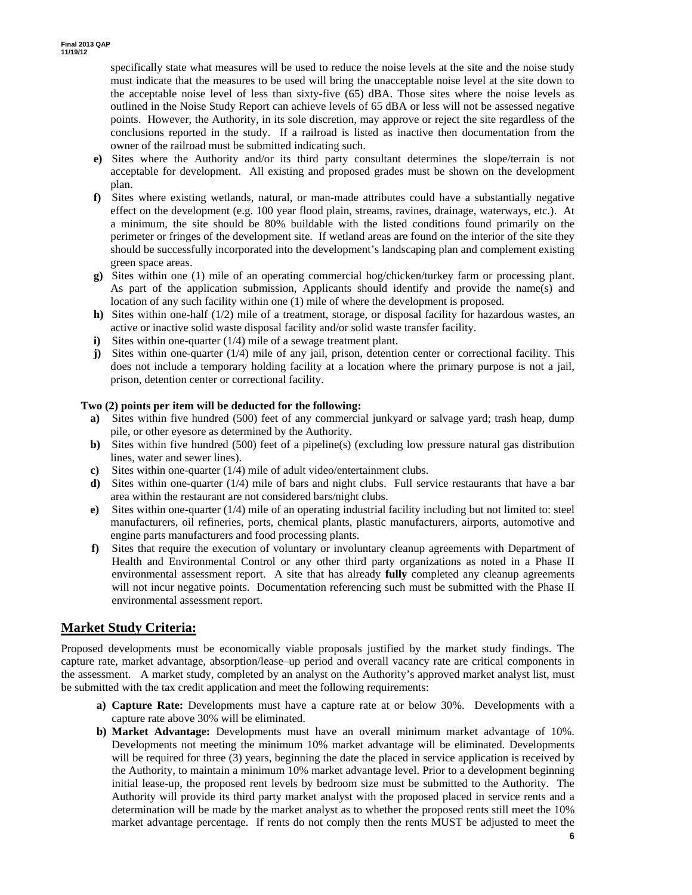specifically state what measures will be used to reduce the noise levels at the site and the noise study must indicate that the measures to be used will bring the unacceptable noise level at the site down to the acceptable noise level of less than sixty-five (65) dBA. Those sites where the noise levels as outlined in the Noise Study Report can achieve levels of 65 dBA or less will not be assessed negative points. However, the Authority, in its sole discretion, may approve or reject the site regardless of the conclusions reported in the study. If a railroad is listed as inactive then documentation from the owner of the railroad must be submitted indicating such.

- **e)** Sites where the Authority and/or its third party consultant determines the slope/terrain is not acceptable for development. All existing and proposed grades must be shown on the development plan.
- **f)** Sites where existing wetlands, natural, or man-made attributes could have a substantially negative effect on the development (e.g. 100 year flood plain, streams, ravines, drainage, waterways, etc.). At a minimum, the site should be 80% buildable with the listed conditions found primarily on the perimeter or fringes of the development site. If wetland areas are found on the interior of the site they should be successfully incorporated into the development's landscaping plan and complement existing green space areas.
- **g)** Sites within one (1) mile of an operating commercial hog/chicken/turkey farm or processing plant. As part of the application submission, Applicants should identify and provide the name(s) and location of any such facility within one (1) mile of where the development is proposed.
- **h)** Sites within one-half (1/2) mile of a treatment, storage, or disposal facility for hazardous wastes, an active or inactive solid waste disposal facility and/or solid waste transfer facility.
- **i**) Sites within one-quarter (1/4) mile of a sewage treatment plant.
- **j**) Sites within one-quarter (1/4) mile of any jail, prison, detention center or correctional facility. This does not include a temporary holding facility at a location where the primary purpose is not a jail, prison, detention center or correctional facility.

#### **Two (2) points per item will be deducted for the following:**

- **a)** Sites within five hundred (500) feet of any commercial junkyard or salvage yard; trash heap, dump pile, or other eyesore as determined by the Authority.
- **b)** Sites within five hundred (500) feet of a pipeline(s) (excluding low pressure natural gas distribution lines, water and sewer lines).
- **c)** Sites within one-quarter (1/4) mile of adult video/entertainment clubs.
- **d**) Sites within one-quarter (1/4) mile of bars and night clubs. Full service restaurants that have a bar area within the restaurant are not considered bars/night clubs.
- **e)** Sites within one-quarter (1/4) mile of an operating industrial facility including but not limited to: steel manufacturers, oil refineries, ports, chemical plants, plastic manufacturers, airports, automotive and engine parts manufacturers and food processing plants.
- **f)** Sites that require the execution of voluntary or involuntary cleanup agreements with Department of Health and Environmental Control or any other third party organizations as noted in a Phase II environmental assessment report. A site that has already **fully** completed any cleanup agreements will not incur negative points. Documentation referencing such must be submitted with the Phase II environmental assessment report.

#### **Market Study Criteria:**

Proposed developments must be economically viable proposals justified by the market study findings. The capture rate, market advantage, absorption/lease–up period and overall vacancy rate are critical components in the assessment. A market study, completed by an analyst on the Authority's approved market analyst list, must be submitted with the tax credit application and meet the following requirements:

- **a) Capture Rate:** Developments must have a capture rate at or below 30%. Developments with a capture rate above 30% will be eliminated.
- **b) Market Advantage:** Developments must have an overall minimum market advantage of 10%. Developments not meeting the minimum 10% market advantage will be eliminated. Developments will be required for three (3) years, beginning the date the placed in service application is received by the Authority, to maintain a minimum 10% market advantage level. Prior to a development beginning initial lease-up, the proposed rent levels by bedroom size must be submitted to the Authority. The Authority will provide its third party market analyst with the proposed placed in service rents and a determination will be made by the market analyst as to whether the proposed rents still meet the 10% market advantage percentage. If rents do not comply then the rents MUST be adjusted to meet the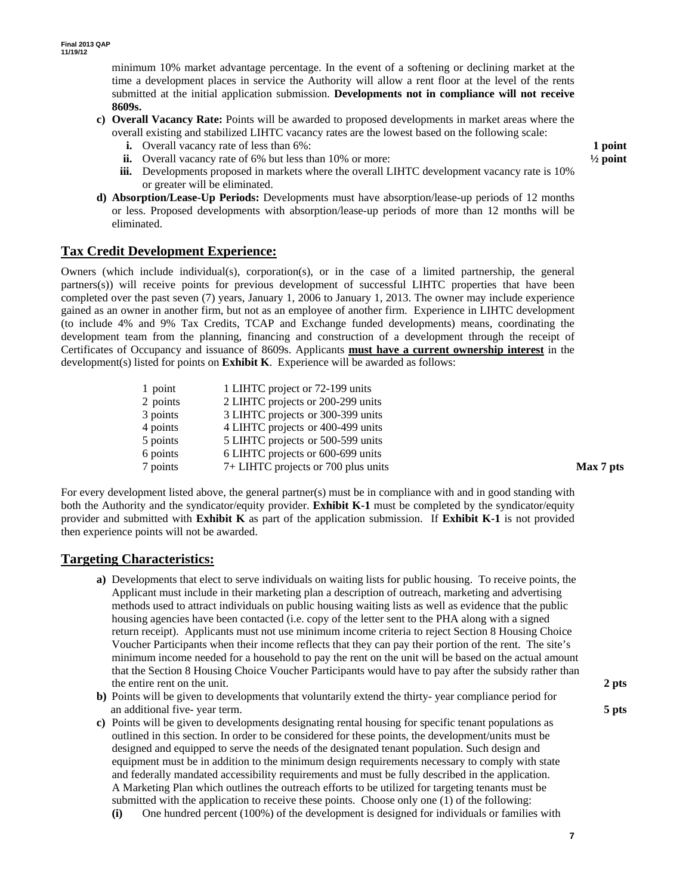minimum 10% market advantage percentage. In the event of a softening or declining market at the time a development places in service the Authority will allow a rent floor at the level of the rents submitted at the initial application submission. **Developments not in compliance will not receive 8609s.** 

- **c) Overall Vacancy Rate:** Points will be awarded to proposed developments in market areas where the overall existing and stabilized LIHTC vacancy rates are the lowest based on the following scale:
	- **i.** Overall vacancy rate of less than 6%: **1 point**
	- **ii.** Overall vacancy rate of 6% but less than 10% or more:  $\frac{1}{2}$  point
	- **iii.** Developments proposed in markets where the overall LIHTC development vacancy rate is 10% or greater will be eliminated.
- **d) Absorption/Lease-Up Periods:** Developments must have absorption/lease-up periods of 12 months or less. Proposed developments with absorption/lease-up periods of more than 12 months will be eliminated.

#### **Tax Credit Development Experience:**

Owners (which include individual(s), corporation(s), or in the case of a limited partnership, the general partners(s)) will receive points for previous development of successful LIHTC properties that have been completed over the past seven (7) years, January 1, 2006 to January 1, 2013. The owner may include experience gained as an owner in another firm, but not as an employee of another firm. Experience in LIHTC development (to include 4% and 9% Tax Credits, TCAP and Exchange funded developments) means, coordinating the development team from the planning, financing and construction of a development through the receipt of Certificates of Occupancy and issuance of 8609s. Applicants **must have a current ownership interest** in the development(s) listed for points on **Exhibit K**. Experience will be awarded as follows:

> 1 point 1 LIHTC project or 72-199 units 2 points 2 LIHTC projects or 200-299 units 3 points 3 LIHTC projects or 300-399 units 4 points 4 LIHTC projects or 400-499 units 5 points 5 LIHTC projects or 500-599 units 6 points 6 LIHTC projects or 600-699 units 7 points 7+ LIHTC projects or 700 plus units **Max 7 pts**

For every development listed above, the general partner(s) must be in compliance with and in good standing with both the Authority and the syndicator/equity provider. **Exhibit K-1** must be completed by the syndicator/equity provider and submitted with **Exhibit K** as part of the application submission. If **Exhibit K-1** is not provided then experience points will not be awarded.

#### **Targeting Characteristics:**

- **a)** Developments that elect to serve individuals on waiting lists for public housing. To receive points, the Applicant must include in their marketing plan a description of outreach, marketing and advertising methods used to attract individuals on public housing waiting lists as well as evidence that the public housing agencies have been contacted (i.e. copy of the letter sent to the PHA along with a signed return receipt). Applicants must not use minimum income criteria to reject Section 8 Housing Choice Voucher Participants when their income reflects that they can pay their portion of the rent. The site's minimum income needed for a household to pay the rent on the unit will be based on the actual amount that the Section 8 Housing Choice Voucher Participants would have to pay after the subsidy rather than the entire rent on the unit. **2 pts**
- **b)** Points will be given to developments that voluntarily extend the thirty- year compliance period for an additional five- year term. **5 pts**
- **c)** Points will be given to developments designating rental housing for specific tenant populations as outlined in this section. In order to be considered for these points, the development/units must be designed and equipped to serve the needs of the designated tenant population. Such design and equipment must be in addition to the minimum design requirements necessary to comply with state and federally mandated accessibility requirements and must be fully described in the application. A Marketing Plan which outlines the outreach efforts to be utilized for targeting tenants must be submitted with the application to receive these points. Choose only one (1) of the following:
	- **(i)** One hundred percent (100%) of the development is designed for individuals or families with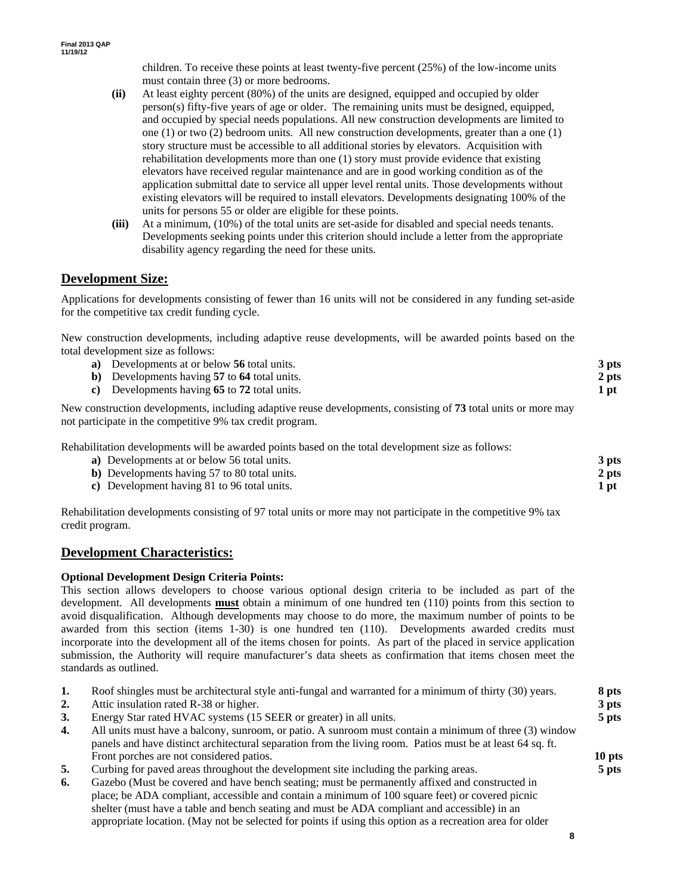children. To receive these points at least twenty-five percent (25%) of the low-income units must contain three (3) or more bedrooms.

- **(ii)** At least eighty percent (80%) of the units are designed, equipped and occupied by older person(s) fifty-five years of age or older. The remaining units must be designed, equipped, and occupied by special needs populations. All new construction developments are limited to one (1) or two (2) bedroom units*.* All new construction developments, greater than a one (1) story structure must be accessible to all additional stories by elevators. Acquisition with rehabilitation developments more than one (1) story must provide evidence that existing elevators have received regular maintenance and are in good working condition as of the application submittal date to service all upper level rental units. Those developments without existing elevators will be required to install elevators. Developments designating 100% of the units for persons 55 or older are eligible for these points.
- **(iii)** At a minimum, (10%) of the total units are set-aside for disabled and special needs tenants. Developments seeking points under this criterion should include a letter from the appropriate disability agency regarding the need for these units.

### **Development Size:**

Applications for developments consisting of fewer than 16 units will not be considered in any funding set-aside for the competitive tax credit funding cycle.

New construction developments, including adaptive reuse developments, will be awarded points based on the total development size as follows:

| a) Developments at or below 56 total units.                                                                    | 3 pts |
|----------------------------------------------------------------------------------------------------------------|-------|
| b) Developments having 57 to 64 total units.                                                                   | 2 pts |
| c) Developments having 65 to 72 total units.                                                                   | 1 pt  |
| New construction developments, including adaptive reuse developments, consisting of 73 total units or more may |       |

not participate in the competitive 9% tax credit program.

Rehabilitation developments will be awarded points based on the total development size as follows:

| a) Developments at or below 56 total units.          | 3 pts |
|------------------------------------------------------|-------|
| <b>b</b> ) Developments having 57 to 80 total units. | 2 pts |
| c) Development having 81 to 96 total units.          | 1 pt  |

Rehabilitation developments consisting of 97 total units or more may not participate in the competitive 9% tax credit program.

#### **Development Characteristics:**

#### **Optional Development Design Criteria Points:**

This section allows developers to choose various optional design criteria to be included as part of the development. All developments **must** obtain a minimum of one hundred ten (110) points from this section to avoid disqualification. Although developments may choose to do more, the maximum number of points to be awarded from this section (items 1-30) is one hundred ten (110). Developments awarded credits must incorporate into the development all of the items chosen for points. As part of the placed in service application submission, the Authority will require manufacturer's data sheets as confirmation that items chosen meet the standards as outlined.

| 1. | Roof shingles must be architectural style anti-fungal and warranted for a minimum of thirty (30) years.    | 8 pts  |
|----|------------------------------------------------------------------------------------------------------------|--------|
| 2. | Attic insulation rated R-38 or higher.                                                                     | 3 pts  |
| 3. | Energy Star rated HVAC systems (15 SEER or greater) in all units.                                          | 5 pts  |
| 4. | All units must have a balcony, sunroom, or patio. A sunroom must contain a minimum of three (3) window     |        |
|    | panels and have distinct architectural separation from the living room. Patios must be at least 64 sq. ft. |        |
|    | Front porches are not considered patios.                                                                   | 10 pts |
| 5. | Curbing for paved areas throughout the development site including the parking areas.                       | 5 pts  |
| 6. | Gazebo (Must be covered and have bench seating; must be permanently affixed and constructed in             |        |
|    | place; be ADA compliant, accessible and contain a minimum of 100 square feet) or covered picnic            |        |
|    | shelter (must have a table and bench seating and must be ADA compliant and accessible) in an               |        |

appropriate location. (May not be selected for points if using this option as a recreation area for older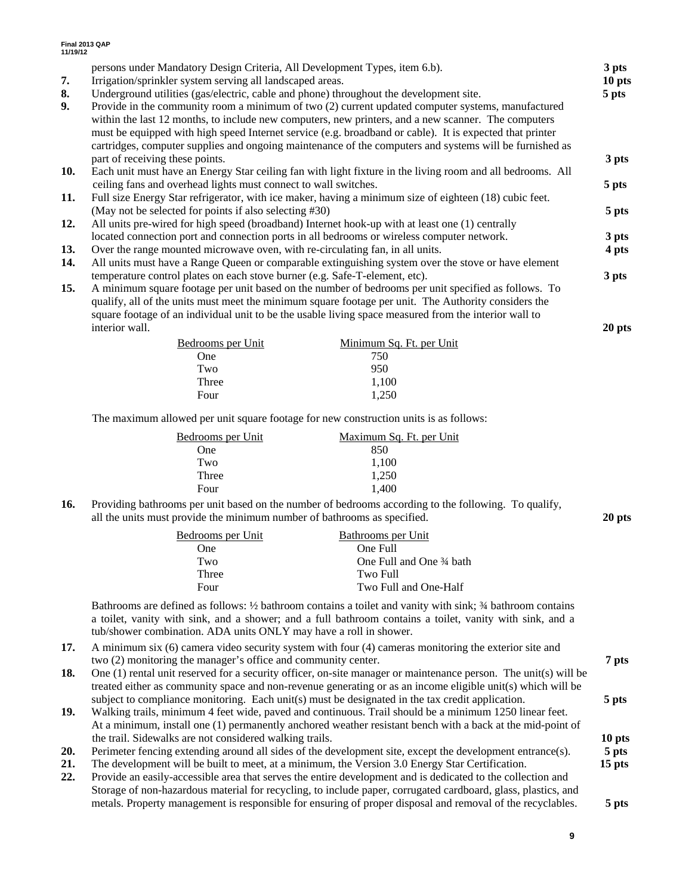| 7.<br>8.<br>9. | persons under Mandatory Design Criteria, All Development Types, item 6.b).<br>Irrigation/sprinkler system serving all landscaped areas.<br>Underground utilities (gas/electric, cable and phone) throughout the development site.<br>Provide in the community room a minimum of two (2) current updated computer systems, manufactured<br>within the last 12 months, to include new computers, new printers, and a new scanner. The computers<br>must be equipped with high speed Internet service (e.g. broadband or cable). It is expected that printer<br>cartridges, computer supplies and ongoing maintenance of the computers and systems will be furnished as |                                       |        |  |
|----------------|----------------------------------------------------------------------------------------------------------------------------------------------------------------------------------------------------------------------------------------------------------------------------------------------------------------------------------------------------------------------------------------------------------------------------------------------------------------------------------------------------------------------------------------------------------------------------------------------------------------------------------------------------------------------|---------------------------------------|--------|--|
| 10.            | part of receiving these points.<br>Each unit must have an Energy Star ceiling fan with light fixture in the living room and all bedrooms. All                                                                                                                                                                                                                                                                                                                                                                                                                                                                                                                        |                                       | 3 pts  |  |
|                | ceiling fans and overhead lights must connect to wall switches.                                                                                                                                                                                                                                                                                                                                                                                                                                                                                                                                                                                                      |                                       | 5 pts  |  |
| 11.            | Full size Energy Star refrigerator, with ice maker, having a minimum size of eighteen (18) cubic feet.                                                                                                                                                                                                                                                                                                                                                                                                                                                                                                                                                               |                                       |        |  |
| 12.            | (May not be selected for points if also selecting #30)<br>All units pre-wired for high speed (broadband) Internet hook-up with at least one (1) centrally                                                                                                                                                                                                                                                                                                                                                                                                                                                                                                            |                                       | 5 pts  |  |
|                | located connection port and connection ports in all bedrooms or wireless computer network.                                                                                                                                                                                                                                                                                                                                                                                                                                                                                                                                                                           |                                       | 3 pts  |  |
| 13.            | Over the range mounted microwave oven, with re-circulating fan, in all units.                                                                                                                                                                                                                                                                                                                                                                                                                                                                                                                                                                                        |                                       | 4 pts  |  |
| 14.            | All units must have a Range Queen or comparable extinguishing system over the stove or have element                                                                                                                                                                                                                                                                                                                                                                                                                                                                                                                                                                  |                                       | 3 pts  |  |
| 15.            | temperature control plates on each stove burner (e.g. Safe-T-element, etc).<br>A minimum square footage per unit based on the number of bedrooms per unit specified as follows. To<br>qualify, all of the units must meet the minimum square footage per unit. The Authority considers the<br>square footage of an individual unit to be the usable living space measured from the interior wall to                                                                                                                                                                                                                                                                  |                                       |        |  |
|                | interior wall.                                                                                                                                                                                                                                                                                                                                                                                                                                                                                                                                                                                                                                                       |                                       | 20 pts |  |
|                | Bedrooms per Unit<br><b>One</b>                                                                                                                                                                                                                                                                                                                                                                                                                                                                                                                                                                                                                                      | Minimum Sq. Ft. per Unit<br>750       |        |  |
|                | Two                                                                                                                                                                                                                                                                                                                                                                                                                                                                                                                                                                                                                                                                  | 950                                   |        |  |
|                | Three                                                                                                                                                                                                                                                                                                                                                                                                                                                                                                                                                                                                                                                                | 1,100                                 |        |  |
|                | Four                                                                                                                                                                                                                                                                                                                                                                                                                                                                                                                                                                                                                                                                 | 1,250                                 |        |  |
|                | The maximum allowed per unit square footage for new construction units is as follows:                                                                                                                                                                                                                                                                                                                                                                                                                                                                                                                                                                                |                                       |        |  |
|                | Bedrooms per Unit                                                                                                                                                                                                                                                                                                                                                                                                                                                                                                                                                                                                                                                    | Maximum Sq. Ft. per Unit              |        |  |
|                | One                                                                                                                                                                                                                                                                                                                                                                                                                                                                                                                                                                                                                                                                  | 850                                   |        |  |
|                | Two                                                                                                                                                                                                                                                                                                                                                                                                                                                                                                                                                                                                                                                                  | 1,100                                 |        |  |
|                | Three                                                                                                                                                                                                                                                                                                                                                                                                                                                                                                                                                                                                                                                                | 1,250                                 |        |  |
|                | Four                                                                                                                                                                                                                                                                                                                                                                                                                                                                                                                                                                                                                                                                 | 1,400                                 |        |  |
| 16.            | Providing bathrooms per unit based on the number of bedrooms according to the following. To qualify,<br>all the units must provide the minimum number of bathrooms as specified.                                                                                                                                                                                                                                                                                                                                                                                                                                                                                     |                                       |        |  |
|                | Bedrooms per Unit<br>One                                                                                                                                                                                                                                                                                                                                                                                                                                                                                                                                                                                                                                             | <b>Bathrooms</b> per Unit<br>One Full |        |  |
|                | Two                                                                                                                                                                                                                                                                                                                                                                                                                                                                                                                                                                                                                                                                  | One Full and One 3⁄4 bath             |        |  |
|                | Three                                                                                                                                                                                                                                                                                                                                                                                                                                                                                                                                                                                                                                                                | Two Full                              |        |  |
|                | Four                                                                                                                                                                                                                                                                                                                                                                                                                                                                                                                                                                                                                                                                 | Two Full and One-Half                 |        |  |

Bathrooms are defined as follows: ½ bathroom contains a toilet and vanity with sink; ¾ bathroom contains a toilet, vanity with sink, and a shower; and a full bathroom contains a toilet, vanity with sink, and a tub/shower combination. ADA units ONLY may have a roll in shower.

- **17.** A minimum six (6) camera video security system with four (4) cameras monitoring the exterior site and two (2) monitoring the manager's office and community center. **7 pts**
- **18.** One (1) rental unit reserved for a security officer, on-site manager or maintenance person. The unit(s) will be treated either as community space and non-revenue generating or as an income eligible unit(s) which will be subject to compliance monitoring. Each unit(s) must be designated in the tax credit application. **5 pts**
- **19.** Walking trails, minimum 4 feet wide, paved and continuous. Trail should be a minimum 1250 linear feet. At a minimum, install one (1) permanently anchored weather resistant bench with a back at the mid-point of the trail. Sidewalks are not considered walking trails. **10 pts**
- **20.** Perimeter fencing extending around all sides of the development site, except the development entrance(s). **5 pts**
- **21.** The development will be built to meet, at a minimum, the Version 3.0 Energy Star Certification. **15 pts**
- **22.** Provide an easily-accessible area that serves the entire development and is dedicated to the collection and Storage of non-hazardous material for recycling, to include paper, corrugated cardboard, glass, plastics, and metals. Property management is responsible for ensuring of proper disposal and removal of the recyclables. **5 pts**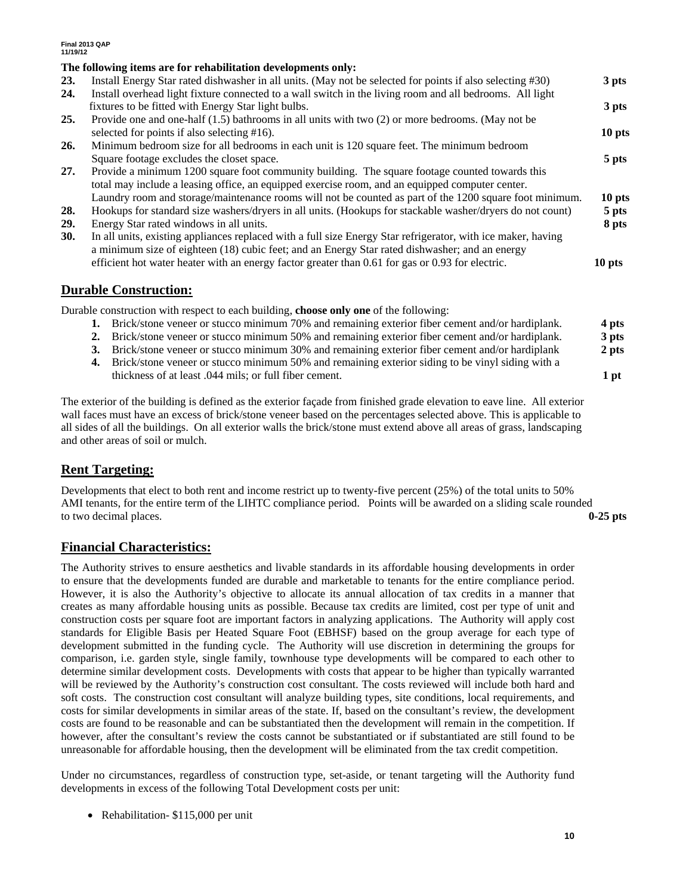#### **The following items are for rehabilitation developments only:**

|            | THE TOHOWING REFINS AT E TOT TEMADIMATION DEVELOPMENTS ONLY.                                                 |         |
|------------|--------------------------------------------------------------------------------------------------------------|---------|
| <b>23.</b> | Install Energy Star rated dishwasher in all units. (May not be selected for points if also selecting #30)    | 3 pts   |
| 24.        | Install overhead light fixture connected to a wall switch in the living room and all bedrooms. All light     |         |
|            | fixtures to be fitted with Energy Star light bulbs.                                                          | 3 pts   |
| 25.        | Provide one and one-half $(1.5)$ bathrooms in all units with two $(2)$ or more bedrooms. (May not be         |         |
|            | selected for points if also selecting #16).                                                                  | 10 pts  |
| 26.        | Minimum bedroom size for all bedrooms in each unit is 120 square feet. The minimum bedroom                   |         |
|            | Square footage excludes the closet space.                                                                    | 5 pts   |
| 27.        | Provide a minimum 1200 square foot community building. The square footage counted towards this               |         |
|            | total may include a leasing office, an equipped exercise room, and an equipped computer center.              |         |
|            | Laundry room and storage/maintenance rooms will not be counted as part of the 1200 square foot minimum.      | 10 pts  |
| 28.        | Hookups for standard size washers/dryers in all units. (Hookups for stackable washer/dryers do not count)    | $5$ pts |
| 29.        | Energy Star rated windows in all units.                                                                      | 8 pts   |
| <b>30.</b> | In all units, existing appliances replaced with a full size Energy Star refrigerator, with ice maker, having |         |
|            | a minimum size of eighteen (18) cubic feet; and an Energy Star rated dishwasher; and an energy               |         |
|            | efficient hot water heater with an energy factor greater than 0.61 for gas or 0.93 for electric.             | 10 pts  |
|            |                                                                                                              |         |

#### **Durable Construction:**

Durable construction with respect to each building, **choose only one** of the following:

- **1.** Brick/stone veneer or stucco minimum 70% and remaining exterior fiber cement and/or hardiplank. **4 pts 2.** Brick/stone veneer or stucco minimum 50% and remaining exterior fiber cement and/or hardiplank. **3 pts**
- **3.** Brick/stone veneer or stucco minimum 30% and remaining exterior fiber cement and/or hardiplank **2 pts**
- **4.** Brick/stone veneer or stucco minimum 50% and remaining exterior siding to be vinyl siding with a thickness of at least .044 mils; or full fiber cement. **1 pt**

The exterior of the building is defined as the exterior façade from finished grade elevation to eave line. All exterior wall faces must have an excess of brick/stone veneer based on the percentages selected above. This is applicable to all sides of all the buildings. On all exterior walls the brick/stone must extend above all areas of grass, landscaping and other areas of soil or mulch.

### **Rent Targeting:**

Developments that elect to both rent and income restrict up to twenty-five percent (25%) of the total units to 50% AMI tenants, for the entire term of the LIHTC compliance period. Points will be awarded on a sliding scale rounded to two decimal places. **0-25 pts**

### **Financial Characteristics:**

The Authority strives to ensure aesthetics and livable standards in its affordable housing developments in order to ensure that the developments funded are durable and marketable to tenants for the entire compliance period. However, it is also the Authority's objective to allocate its annual allocation of tax credits in a manner that creates as many affordable housing units as possible. Because tax credits are limited, cost per type of unit and construction costs per square foot are important factors in analyzing applications. The Authority will apply cost standards for Eligible Basis per Heated Square Foot (EBHSF) based on the group average for each type of development submitted in the funding cycle. The Authority will use discretion in determining the groups for comparison, i.e. garden style, single family, townhouse type developments will be compared to each other to determine similar development costs. Developments with costs that appear to be higher than typically warranted will be reviewed by the Authority's construction cost consultant. The costs reviewed will include both hard and soft costs. The construction cost consultant will analyze building types, site conditions, local requirements, and costs for similar developments in similar areas of the state. If, based on the consultant's review, the development costs are found to be reasonable and can be substantiated then the development will remain in the competition. If however, after the consultant's review the costs cannot be substantiated or if substantiated are still found to be unreasonable for affordable housing, then the development will be eliminated from the tax credit competition.

Under no circumstances, regardless of construction type, set-aside, or tenant targeting will the Authority fund developments in excess of the following Total Development costs per unit:

• Rehabilitation- \$115,000 per unit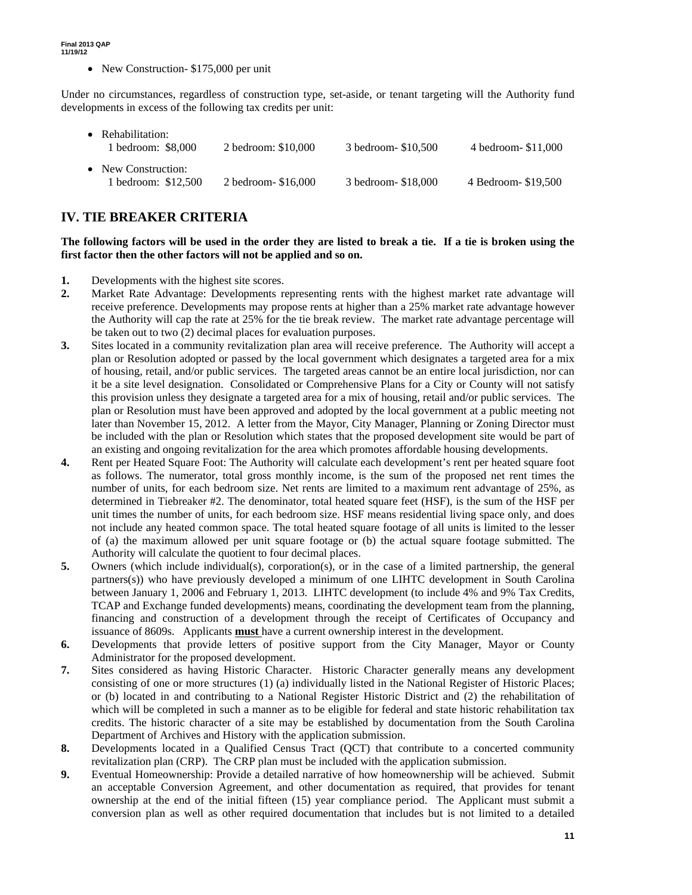• New Construction- \$175,000 per unit

Under no circumstances, regardless of construction type, set-aside, or tenant targeting will the Authority fund developments in excess of the following tax credits per unit:

• Rehabilitation: 1 bedroom: \$8,000 2 bedroom: \$10,000 3 bedroom- \$10,500 4 bedroom- \$11,000 • New Construction: 1 bedroom: \$12,500 2 bedroom- \$16,000 3 bedroom- \$18,000 4 Bedroom- \$19,500

## **IV. TIE BREAKER CRITERIA**

#### **The following factors will be used in the order they are listed to break a tie. If a tie is broken using the first factor then the other factors will not be applied and so on.**

- **1.** Developments with the highest site scores.
- **2.** Market Rate Advantage: Developments representing rents with the highest market rate advantage will receive preference. Developments may propose rents at higher than a 25% market rate advantage however the Authority will cap the rate at 25% for the tie break review. The market rate advantage percentage will be taken out to two (2) decimal places for evaluation purposes.
- **3.** Sites located in a community revitalization plan area will receive preference. The Authority will accept a plan or Resolution adopted or passed by the local government which designates a targeted area for a mix of housing, retail, and/or public services. The targeted areas cannot be an entire local jurisdiction, nor can it be a site level designation. Consolidated or Comprehensive Plans for a City or County will not satisfy this provision unless they designate a targeted area for a mix of housing, retail and/or public services. The plan or Resolution must have been approved and adopted by the local government at a public meeting not later than November 15, 2012. A letter from the Mayor, City Manager, Planning or Zoning Director must be included with the plan or Resolution which states that the proposed development site would be part of an existing and ongoing revitalization for the area which promotes affordable housing developments.
- **4.** Rent per Heated Square Foot: The Authority will calculate each development's rent per heated square foot as follows. The numerator, total gross monthly income, is the sum of the proposed net rent times the number of units, for each bedroom size. Net rents are limited to a maximum rent advantage of 25%, as determined in Tiebreaker #2. The denominator, total heated square feet (HSF), is the sum of the HSF per unit times the number of units, for each bedroom size. HSF means residential living space only, and does not include any heated common space. The total heated square footage of all units is limited to the lesser of (a) the maximum allowed per unit square footage or (b) the actual square footage submitted. The Authority will calculate the quotient to four decimal places.
- **5.** Owners (which include individual(s), corporation(s), or in the case of a limited partnership, the general partners(s)) who have previously developed a minimum of one LIHTC development in South Carolina between January 1, 2006 and February 1, 2013. LIHTC development (to include 4% and 9% Tax Credits, TCAP and Exchange funded developments) means, coordinating the development team from the planning, financing and construction of a development through the receipt of Certificates of Occupancy and issuance of 8609s. Applicants **must** have a current ownership interest in the development.
- **6.** Developments that provide letters of positive support from the City Manager, Mayor or County Administrator for the proposed development.
- **7.** Sites considered as having Historic Character. Historic Character generally means any development consisting of one or more structures (1) (a) individually listed in the National Register of Historic Places; or (b) located in and contributing to a National Register Historic District and (2) the rehabilitation of which will be completed in such a manner as to be eligible for federal and state historic rehabilitation tax credits. The historic character of a site may be established by documentation from the South Carolina Department of Archives and History with the application submission.
- **8.** Developments located in a Qualified Census Tract (QCT) that contribute to a concerted community revitalization plan (CRP). The CRP plan must be included with the application submission.
- **9.** Eventual Homeownership: Provide a detailed narrative of how homeownership will be achieved. Submit an acceptable Conversion Agreement, and other documentation as required, that provides for tenant ownership at the end of the initial fifteen (15) year compliance period. The Applicant must submit a conversion plan as well as other required documentation that includes but is not limited to a detailed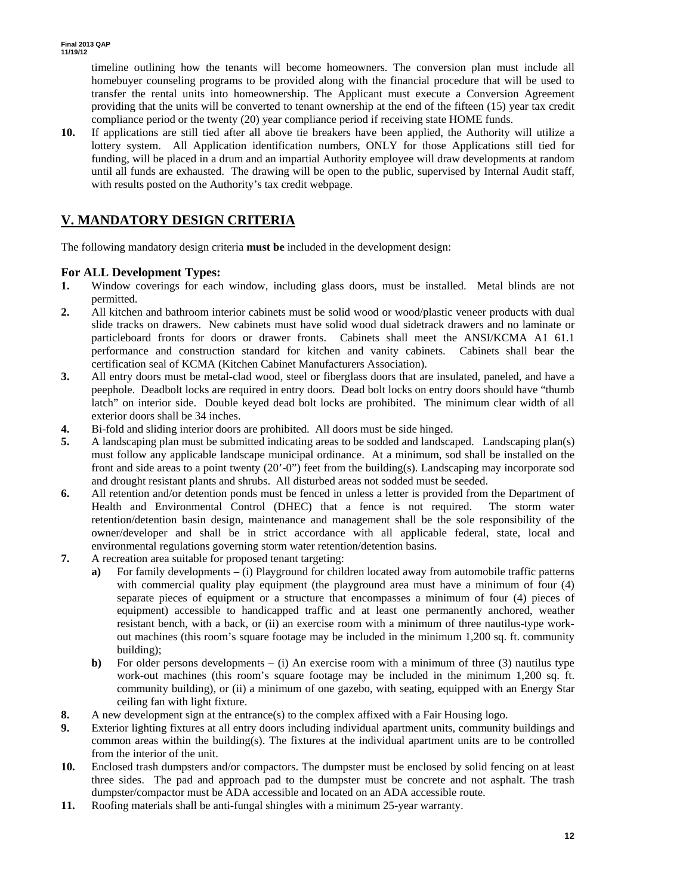timeline outlining how the tenants will become homeowners. The conversion plan must include all homebuyer counseling programs to be provided along with the financial procedure that will be used to transfer the rental units into homeownership. The Applicant must execute a Conversion Agreement providing that the units will be converted to tenant ownership at the end of the fifteen (15) year tax credit compliance period or the twenty (20) year compliance period if receiving state HOME funds.

**10.** If applications are still tied after all above tie breakers have been applied, the Authority will utilize a lottery system. All Application identification numbers, ONLY for those Applications still tied for funding, will be placed in a drum and an impartial Authority employee will draw developments at random until all funds are exhausted. The drawing will be open to the public, supervised by Internal Audit staff, with results posted on the Authority's tax credit webpage.

## **V. MANDATORY DESIGN CRITERIA**

The following mandatory design criteria **must be** included in the development design:

### **For ALL Development Types:**

- **1.** Window coverings for each window, including glass doors, must be installed. Metal blinds are not permitted.
- **2.** All kitchen and bathroom interior cabinets must be solid wood or wood/plastic veneer products with dual slide tracks on drawers. New cabinets must have solid wood dual sidetrack drawers and no laminate or particleboard fronts for doors or drawer fronts. Cabinets shall meet the ANSI/KCMA A1 61.1 performance and construction standard for kitchen and vanity cabinets. Cabinets shall bear the certification seal of KCMA (Kitchen Cabinet Manufacturers Association).
- **3.** All entry doors must be metal-clad wood, steel or fiberglass doors that are insulated, paneled, and have a peephole. Deadbolt locks are required in entry doors. Dead bolt locks on entry doors should have "thumb latch" on interior side. Double keyed dead bolt locks are prohibited. The minimum clear width of all exterior doors shall be 34 inches.
- **4.** Bi-fold and sliding interior doors are prohibited. All doors must be side hinged.
- **5.** A landscaping plan must be submitted indicating areas to be sodded and landscaped. Landscaping plan(s) must follow any applicable landscape municipal ordinance. At a minimum, sod shall be installed on the front and side areas to a point twenty (20'-0") feet from the building(s). Landscaping may incorporate sod and drought resistant plants and shrubs. All disturbed areas not sodded must be seeded.
- **6.** All retention and/or detention ponds must be fenced in unless a letter is provided from the Department of Health and Environmental Control (DHEC) that a fence is not required. The storm water retention/detention basin design, maintenance and management shall be the sole responsibility of the owner/developer and shall be in strict accordance with all applicable federal, state, local and environmental regulations governing storm water retention/detention basins.
- **7.** A recreation area suitable for proposed tenant targeting:
	- **a)** For family developments (i) Playground for children located away from automobile traffic patterns with commercial quality play equipment (the playground area must have a minimum of four (4) separate pieces of equipment or a structure that encompasses a minimum of four (4) pieces of equipment) accessible to handicapped traffic and at least one permanently anchored, weather resistant bench, with a back, or (ii) an exercise room with a minimum of three nautilus-type workout machines (this room's square footage may be included in the minimum 1,200 sq. ft. community building);
	- **b)** For older persons developments (i) An exercise room with a minimum of three (3) nautilus type work-out machines (this room's square footage may be included in the minimum 1,200 sq. ft. community building), or (ii) a minimum of one gazebo, with seating, equipped with an Energy Star ceiling fan with light fixture.
- **8.** A new development sign at the entrance(s) to the complex affixed with a Fair Housing logo.
- **9.** Exterior lighting fixtures at all entry doors including individual apartment units, community buildings and common areas within the building(s). The fixtures at the individual apartment units are to be controlled from the interior of the unit.
- **10.** Enclosed trash dumpsters and/or compactors. The dumpster must be enclosed by solid fencing on at least three sides. The pad and approach pad to the dumpster must be concrete and not asphalt. The trash dumpster/compactor must be ADA accessible and located on an ADA accessible route.
- **11.** Roofing materials shall be anti-fungal shingles with a minimum 25-year warranty.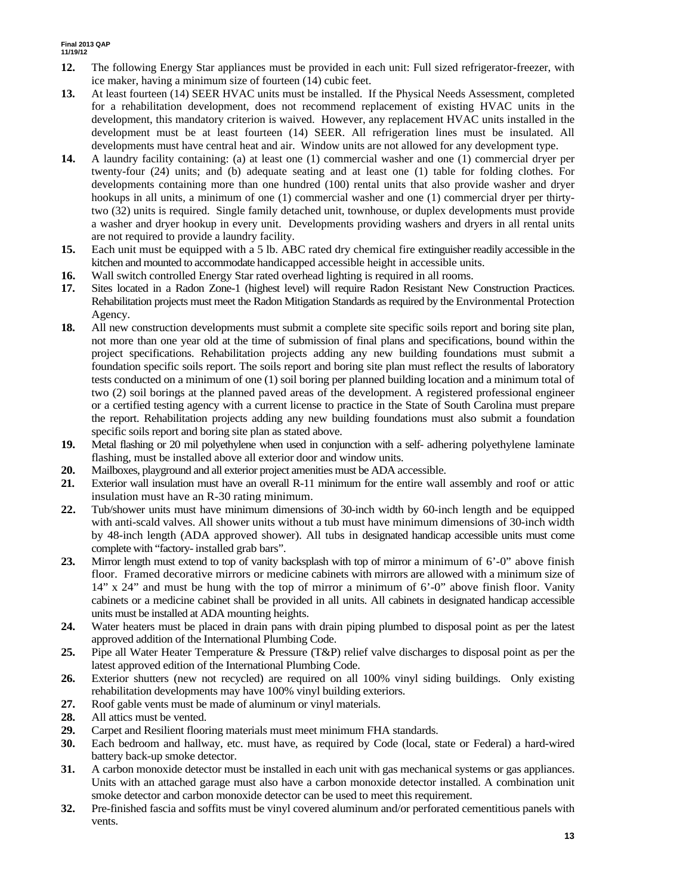- **12.** The following Energy Star appliances must be provided in each unit: Full sized refrigerator-freezer, with ice maker, having a minimum size of fourteen (14) cubic feet.
- **13.** At least fourteen (14) SEER HVAC units must be installed. If the Physical Needs Assessment, completed for a rehabilitation development, does not recommend replacement of existing HVAC units in the development, this mandatory criterion is waived. However, any replacement HVAC units installed in the development must be at least fourteen (14) SEER. All refrigeration lines must be insulated. All developments must have central heat and air. Window units are not allowed for any development type.
- **14.** A laundry facility containing: (a) at least one (1) commercial washer and one (1) commercial dryer per twenty-four (24) units; and (b) adequate seating and at least one (1) table for folding clothes. For developments containing more than one hundred (100) rental units that also provide washer and dryer hookups in all units, a minimum of one (1) commercial washer and one (1) commercial dryer per thirtytwo (32) units is required. Single family detached unit, townhouse, or duplex developments must provide a washer and dryer hookup in every unit. Developments providing washers and dryers in all rental units are not required to provide a laundry facility.
- **15.** Each unit must be equipped with a 5 lb. ABC rated dry chemical fire extinguisher readily accessible in the kitchen and mounted to accommodate handicapped accessible height in accessible units.
- **16.** Wall switch controlled Energy Star rated overhead lighting is required in all rooms.
- **17.** Sites located in a Radon Zone-1 (highest level) will require Radon Resistant New Construction Practices. Rehabilitation projects must meet the Radon Mitigation Standards as required by the Environmental Protection Agency.
- **18.** All new construction developments must submit a complete site specific soils report and boring site plan, not more than one year old at the time of submission of final plans and specifications, bound within the project specifications. Rehabilitation projects adding any new building foundations must submit a foundation specific soils report. The soils report and boring site plan must reflect the results of laboratory tests conducted on a minimum of one (1) soil boring per planned building location and a minimum total of two (2) soil borings at the planned paved areas of the development. A registered professional engineer or a certified testing agency with a current license to practice in the State of South Carolina must prepare the report. Rehabilitation projects adding any new building foundations must also submit a foundation specific soils report and boring site plan as stated above.
- **19.** Metal flashing or 20 mil polyethylene when used in conjunction with a self- adhering polyethylene laminate flashing, must be installed above all exterior door and window units.
- **20.** Mailboxes, playground and all exterior project amenities must be ADA accessible.
- **21.** Exterior wall insulation must have an overall R-11 minimum for the entire wall assembly and roof or attic insulation must have an R-30 rating minimum.
- **22.** Tub/shower units must have minimum dimensions of 30-inch width by 60-inch length and be equipped with anti-scald valves. All shower units without a tub must have minimum dimensions of 30-inch width by 48-inch length (ADA approved shower). All tubs in designated handicap accessible units must come complete with "factory- installed grab bars".
- **23.** Mirror length must extend to top of vanity backsplash with top of mirror a minimum of 6'-0" above finish floor. Framed decorative mirrors or medicine cabinets with mirrors are allowed with a minimum size of 14" x 24" and must be hung with the top of mirror a minimum of 6'-0" above finish floor. Vanity cabinets or a medicine cabinet shall be provided in all units. All cabinets in designated handicap accessible units must be installed at ADA mounting heights.
- **24.** Water heaters must be placed in drain pans with drain piping plumbed to disposal point as per the latest approved addition of the International Plumbing Code.
- **25.** Pipe all Water Heater Temperature & Pressure (T&P) relief valve discharges to disposal point as per the latest approved edition of the International Plumbing Code.
- **26.** Exterior shutters (new not recycled) are required on all 100% vinyl siding buildings. Only existing rehabilitation developments may have 100% vinyl building exteriors.
- **27.** Roof gable vents must be made of aluminum or vinyl materials.
- **28.** All attics must be vented.
- **29.** Carpet and Resilient flooring materials must meet minimum FHA standards.
- **30.** Each bedroom and hallway, etc. must have, as required by Code (local, state or Federal) a hard-wired battery back-up smoke detector.
- **31.** A carbon monoxide detector must be installed in each unit with gas mechanical systems or gas appliances. Units with an attached garage must also have a carbon monoxide detector installed. A combination unit smoke detector and carbon monoxide detector can be used to meet this requirement.
- **32.** Pre-finished fascia and soffits must be vinyl covered aluminum and/or perforated cementitious panels with vents.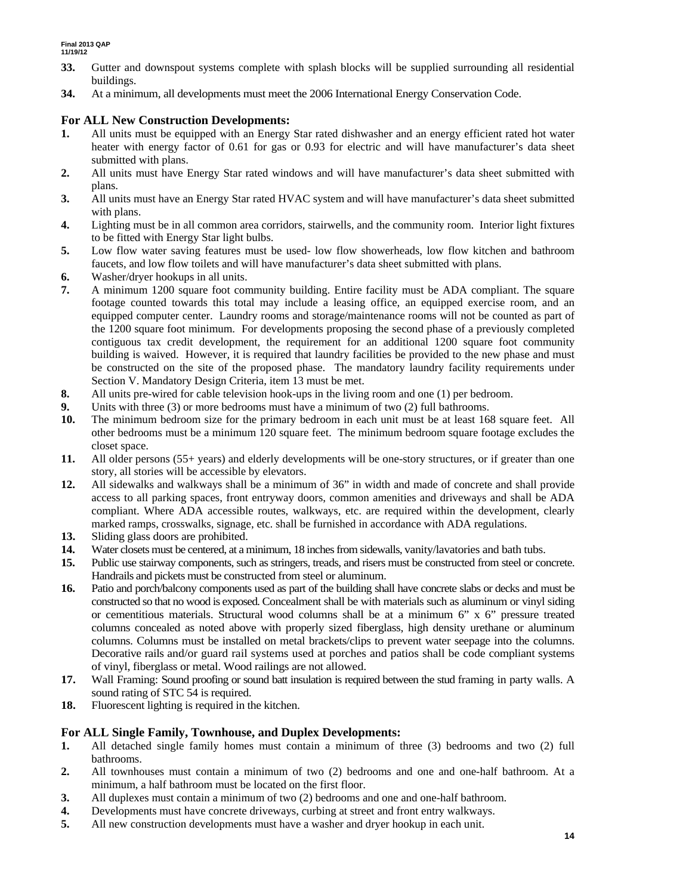- **33.** Gutter and downspout systems complete with splash blocks will be supplied surrounding all residential buildings.
- **34.** At a minimum, all developments must meet the 2006 International Energy Conservation Code.

#### **For ALL New Construction Developments:**

- **1.** All units must be equipped with an Energy Star rated dishwasher and an energy efficient rated hot water heater with energy factor of 0.61 for gas or 0.93 for electric and will have manufacturer's data sheet submitted with plans.
- **2.** All units must have Energy Star rated windows and will have manufacturer's data sheet submitted with plans.
- **3.** All units must have an Energy Star rated HVAC system and will have manufacturer's data sheet submitted with plans.
- **4.** Lighting must be in all common area corridors, stairwells, and the community room. Interior light fixtures to be fitted with Energy Star light bulbs.
- **5.** Low flow water saving features must be used- low flow showerheads, low flow kitchen and bathroom faucets, and low flow toilets and will have manufacturer's data sheet submitted with plans.
- **6.** Washer/dryer hookups in all units.
- **7.** A minimum 1200 square foot community building. Entire facility must be ADA compliant. The square footage counted towards this total may include a leasing office, an equipped exercise room, and an equipped computer center. Laundry rooms and storage/maintenance rooms will not be counted as part of the 1200 square foot minimum. For developments proposing the second phase of a previously completed contiguous tax credit development, the requirement for an additional 1200 square foot community building is waived. However, it is required that laundry facilities be provided to the new phase and must be constructed on the site of the proposed phase. The mandatory laundry facility requirements under Section V. Mandatory Design Criteria, item 13 must be met.
- **8.** All units pre-wired for cable television hook-ups in the living room and one (1) per bedroom.
- **9.** Units with three (3) or more bedrooms must have a minimum of two (2) full bathrooms.
- **10.** The minimum bedroom size for the primary bedroom in each unit must be at least 168 square feet. All other bedrooms must be a minimum 120 square feet. The minimum bedroom square footage excludes the closet space.
- **11.** All older persons (55+ years) and elderly developments will be one-story structures, or if greater than one story, all stories will be accessible by elevators.
- **12.** All sidewalks and walkways shall be a minimum of 36" in width and made of concrete and shall provide access to all parking spaces, front entryway doors, common amenities and driveways and shall be ADA compliant. Where ADA accessible routes, walkways, etc. are required within the development, clearly marked ramps, crosswalks, signage, etc. shall be furnished in accordance with ADA regulations.
- **13.** Sliding glass doors are prohibited.
- **14.** Water closets must be centered, at a minimum, 18 inches from sidewalls, vanity/lavatories and bath tubs.
- **15.** Public use stairway components, such as stringers, treads, and risers must be constructed from steel or concrete. Handrails and pickets must be constructed from steel or aluminum.
- **16.** Patio and porch/balcony components used as part of the building shall have concrete slabs or decks and must be constructed so that no wood is exposed. Concealment shall be with materials such as aluminum or vinyl siding or cementitious materials. Structural wood columns shall be at a minimum 6" x 6" pressure treated columns concealed as noted above with properly sized fiberglass, high density urethane or aluminum columns. Columns must be installed on metal brackets/clips to prevent water seepage into the columns. Decorative rails and/or guard rail systems used at porches and patios shall be code compliant systems of vinyl, fiberglass or metal. Wood railings are not allowed.
- **17.** Wall Framing: Sound proofing or sound batt insulation is required between the stud framing in party walls. A sound rating of STC 54 is required.
- **18.** Fluorescent lighting is required in the kitchen.

#### **For ALL Single Family, Townhouse, and Duplex Developments:**

- **1.** All detached single family homes must contain a minimum of three (3) bedrooms and two (2) full bathrooms.
- **2.** All townhouses must contain a minimum of two (2) bedrooms and one and one-half bathroom. At a minimum, a half bathroom must be located on the first floor.
- **3.** All duplexes must contain a minimum of two (2) bedrooms and one and one-half bathroom.
- **4.** Developments must have concrete driveways, curbing at street and front entry walkways.
- **5.** All new construction developments must have a washer and dryer hookup in each unit.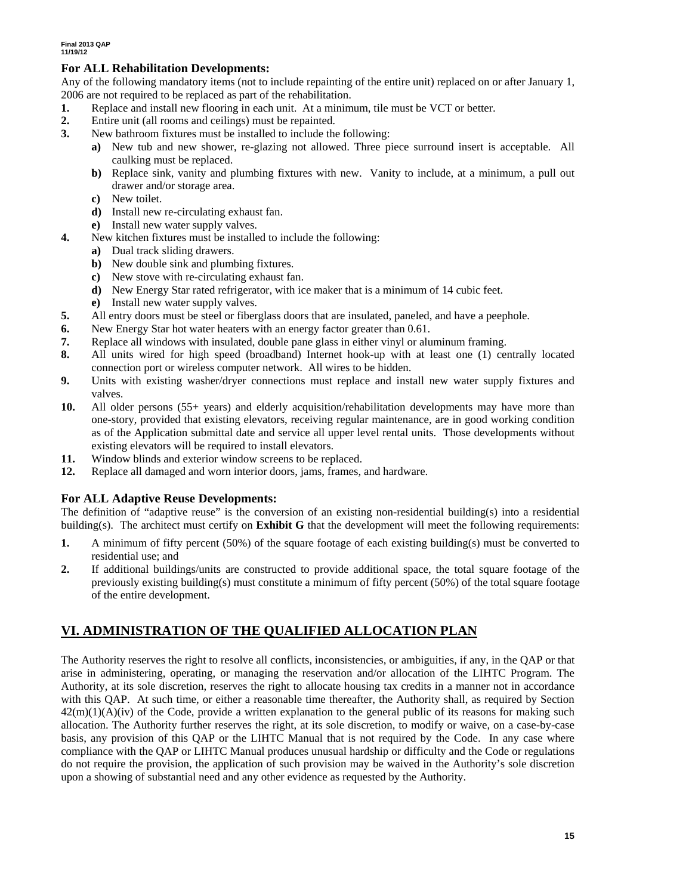#### **For ALL Rehabilitation Developments:**

Any of the following mandatory items (not to include repainting of the entire unit) replaced on or after January 1, 2006 are not required to be replaced as part of the rehabilitation.

- **1.** Replace and install new flooring in each unit. At a minimum, tile must be VCT or better.
- **2.** Entire unit (all rooms and ceilings) must be repainted.
- **3.** New bathroom fixtures must be installed to include the following:
	- **a)** New tub and new shower, re-glazing not allowed. Three piece surround insert is acceptable. All caulking must be replaced.
	- **b)** Replace sink, vanity and plumbing fixtures with new. Vanity to include, at a minimum, a pull out drawer and/or storage area.
	- **c)** New toilet.
	- **d)** Install new re-circulating exhaust fan.
	- **e)** Install new water supply valves.
- **4.** New kitchen fixtures must be installed to include the following:
	- **a)** Dual track sliding drawers.
		- **b)** New double sink and plumbing fixtures.
		- **c)** New stove with re-circulating exhaust fan.
		- **d)** New Energy Star rated refrigerator, with ice maker that is a minimum of 14 cubic feet.
		- **e)** Install new water supply valves.
- **5.** All entry doors must be steel or fiberglass doors that are insulated, paneled, and have a peephole.
- **6.** New Energy Star hot water heaters with an energy factor greater than 0.61.
- **7.** Replace all windows with insulated, double pane glass in either vinyl or aluminum framing.
- **8.** All units wired for high speed (broadband) Internet hook-up with at least one (1) centrally located connection port or wireless computer network. All wires to be hidden.
- **9.** Units with existing washer/dryer connections must replace and install new water supply fixtures and valves.
- **10.** All older persons (55+ years) and elderly acquisition/rehabilitation developments may have more than one-story, provided that existing elevators, receiving regular maintenance, are in good working condition as of the Application submittal date and service all upper level rental units. Those developments without existing elevators will be required to install elevators.
- **11.** Window blinds and exterior window screens to be replaced.
- **12.** Replace all damaged and worn interior doors, jams, frames, and hardware.

#### **For ALL Adaptive Reuse Developments:**

The definition of "adaptive reuse" is the conversion of an existing non-residential building(s) into a residential building(s). The architect must certify on **Exhibit G** that the development will meet the following requirements:

- **1.** A minimum of fifty percent (50%) of the square footage of each existing building(s) must be converted to residential use; and
- **2.** If additional buildings/units are constructed to provide additional space, the total square footage of the previously existing building(s) must constitute a minimum of fifty percent (50%) of the total square footage of the entire development.

### **VI. ADMINISTRATION OF THE QUALIFIED ALLOCATION PLAN**

The Authority reserves the right to resolve all conflicts, inconsistencies, or ambiguities, if any, in the QAP or that arise in administering, operating, or managing the reservation and/or allocation of the LIHTC Program. The Authority, at its sole discretion, reserves the right to allocate housing tax credits in a manner not in accordance with this QAP. At such time, or either a reasonable time thereafter, the Authority shall, as required by Section  $42(m)(1)(A)(iv)$  of the Code, provide a written explanation to the general public of its reasons for making such allocation. The Authority further reserves the right, at its sole discretion, to modify or waive, on a case-by-case basis, any provision of this QAP or the LIHTC Manual that is not required by the Code. In any case where compliance with the QAP or LIHTC Manual produces unusual hardship or difficulty and the Code or regulations do not require the provision, the application of such provision may be waived in the Authority's sole discretion upon a showing of substantial need and any other evidence as requested by the Authority.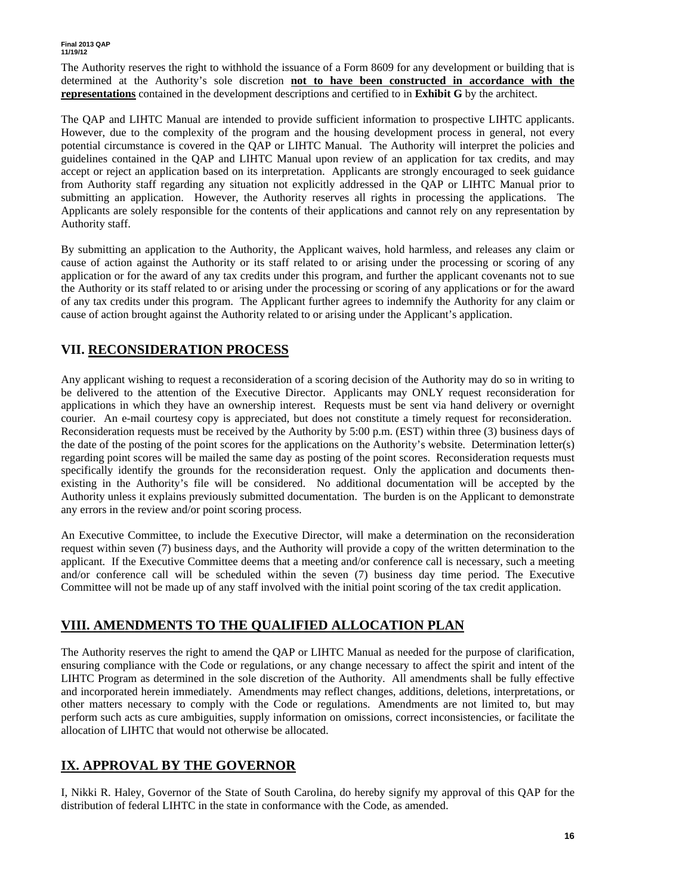The Authority reserves the right to withhold the issuance of a Form 8609 for any development or building that is determined at the Authority's sole discretion **not to have been constructed in accordance with the representations** contained in the development descriptions and certified to in **Exhibit G** by the architect.

The QAP and LIHTC Manual are intended to provide sufficient information to prospective LIHTC applicants. However, due to the complexity of the program and the housing development process in general, not every potential circumstance is covered in the QAP or LIHTC Manual. The Authority will interpret the policies and guidelines contained in the QAP and LIHTC Manual upon review of an application for tax credits, and may accept or reject an application based on its interpretation. Applicants are strongly encouraged to seek guidance from Authority staff regarding any situation not explicitly addressed in the QAP or LIHTC Manual prior to submitting an application. However, the Authority reserves all rights in processing the applications. The Applicants are solely responsible for the contents of their applications and cannot rely on any representation by Authority staff.

By submitting an application to the Authority, the Applicant waives, hold harmless, and releases any claim or cause of action against the Authority or its staff related to or arising under the processing or scoring of any application or for the award of any tax credits under this program, and further the applicant covenants not to sue the Authority or its staff related to or arising under the processing or scoring of any applications or for the award of any tax credits under this program. The Applicant further agrees to indemnify the Authority for any claim or cause of action brought against the Authority related to or arising under the Applicant's application.

### **VII. RECONSIDERATION PROCESS**

Any applicant wishing to request a reconsideration of a scoring decision of the Authority may do so in writing to be delivered to the attention of the Executive Director. Applicants may ONLY request reconsideration for applications in which they have an ownership interest. Requests must be sent via hand delivery or overnight courier. An e-mail courtesy copy is appreciated, but does not constitute a timely request for reconsideration. Reconsideration requests must be received by the Authority by 5:00 p.m. (EST) within three (3) business days of the date of the posting of the point scores for the applications on the Authority's website. Determination letter(s) regarding point scores will be mailed the same day as posting of the point scores. Reconsideration requests must specifically identify the grounds for the reconsideration request. Only the application and documents thenexisting in the Authority's file will be considered. No additional documentation will be accepted by the Authority unless it explains previously submitted documentation. The burden is on the Applicant to demonstrate any errors in the review and/or point scoring process.

An Executive Committee, to include the Executive Director, will make a determination on the reconsideration request within seven (7) business days, and the Authority will provide a copy of the written determination to the applicant. If the Executive Committee deems that a meeting and/or conference call is necessary, such a meeting and/or conference call will be scheduled within the seven (7) business day time period. The Executive Committee will not be made up of any staff involved with the initial point scoring of the tax credit application.

### **VIII. AMENDMENTS TO THE QUALIFIED ALLOCATION PLAN**

The Authority reserves the right to amend the QAP or LIHTC Manual as needed for the purpose of clarification, ensuring compliance with the Code or regulations, or any change necessary to affect the spirit and intent of the LIHTC Program as determined in the sole discretion of the Authority. All amendments shall be fully effective and incorporated herein immediately. Amendments may reflect changes, additions, deletions, interpretations, or other matters necessary to comply with the Code or regulations. Amendments are not limited to, but may perform such acts as cure ambiguities, supply information on omissions, correct inconsistencies, or facilitate the allocation of LIHTC that would not otherwise be allocated.

### **IX. APPROVAL BY THE GOVERNOR**

I, Nikki R. Haley, Governor of the State of South Carolina, do hereby signify my approval of this QAP for the distribution of federal LIHTC in the state in conformance with the Code, as amended.